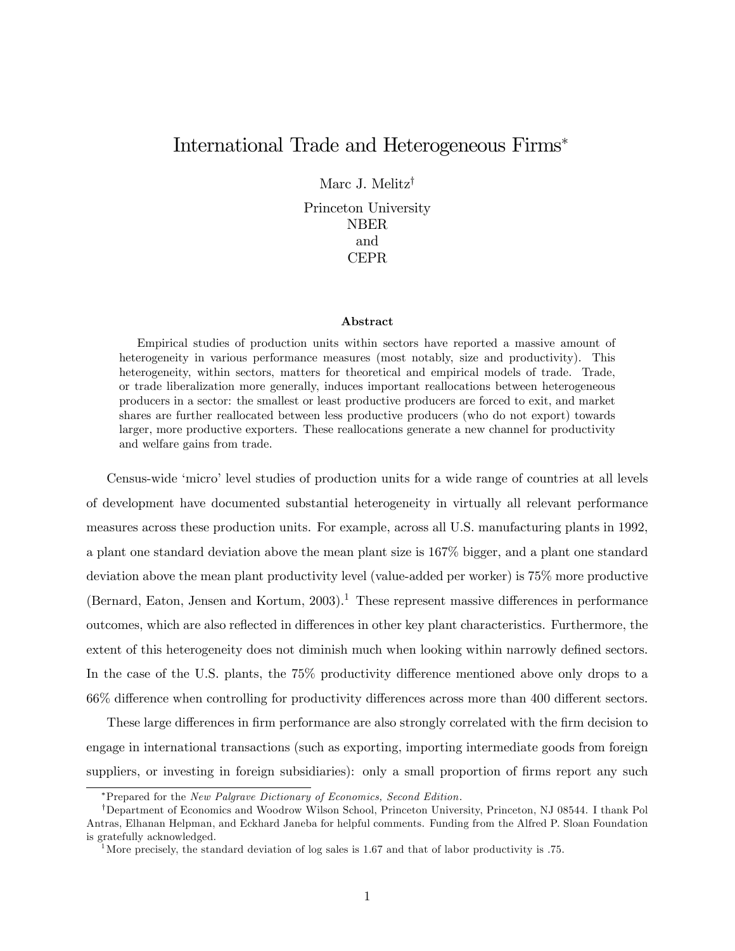## International Trade and Heterogeneous Firms

Marc J. Melitz<sup>†</sup>

Princeton University NBER and CEPR

## Abstract

Empirical studies of production units within sectors have reported a massive amount of heterogeneity in various performance measures (most notably, size and productivity). This heterogeneity, within sectors, matters for theoretical and empirical models of trade. Trade, or trade liberalization more generally, induces important reallocations between heterogeneous producers in a sector: the smallest or least productive producers are forced to exit, and market shares are further reallocated between less productive producers (who do not export) towards larger, more productive exporters. These reallocations generate a new channel for productivity and welfare gains from trade.

Census-wide 'micro' level studies of production units for a wide range of countries at all levels of development have documented substantial heterogeneity in virtually all relevant performance measures across these production units. For example, across all U.S. manufacturing plants in 1992, a plant one standard deviation above the mean plant size is 167% bigger, and a plant one standard deviation above the mean plant productivity level (value-added per worker) is 75% more productive (Bernard, Eaton, Jensen and Kortum, 2003).<sup>1</sup> These represent massive differences in performance outcomes, which are also reflected in differences in other key plant characteristics. Furthermore, the extent of this heterogeneity does not diminish much when looking within narrowly defined sectors. In the case of the U.S. plants, the 75% productivity difference mentioned above only drops to a 66% difference when controlling for productivity differences across more than 400 different sectors.

These large differences in firm performance are also strongly correlated with the firm decision to engage in international transactions (such as exporting, importing intermediate goods from foreign suppliers, or investing in foreign subsidiaries): only a small proportion of firms report any such

<sup>\*</sup>Prepared for the New Palgrave Dictionary of Economics, Second Edition.

<sup>&</sup>lt;sup>†</sup>Department of Economics and Woodrow Wilson School, Princeton University, Princeton, NJ 08544. I thank Pol Antras, Elhanan Helpman, and Eckhard Janeba for helpful comments. Funding from the Alfred P. Sloan Foundation is gratefully acknowledged.

<sup>&</sup>lt;sup>1</sup>More precisely, the standard deviation of log sales is 1.67 and that of labor productivity is .75.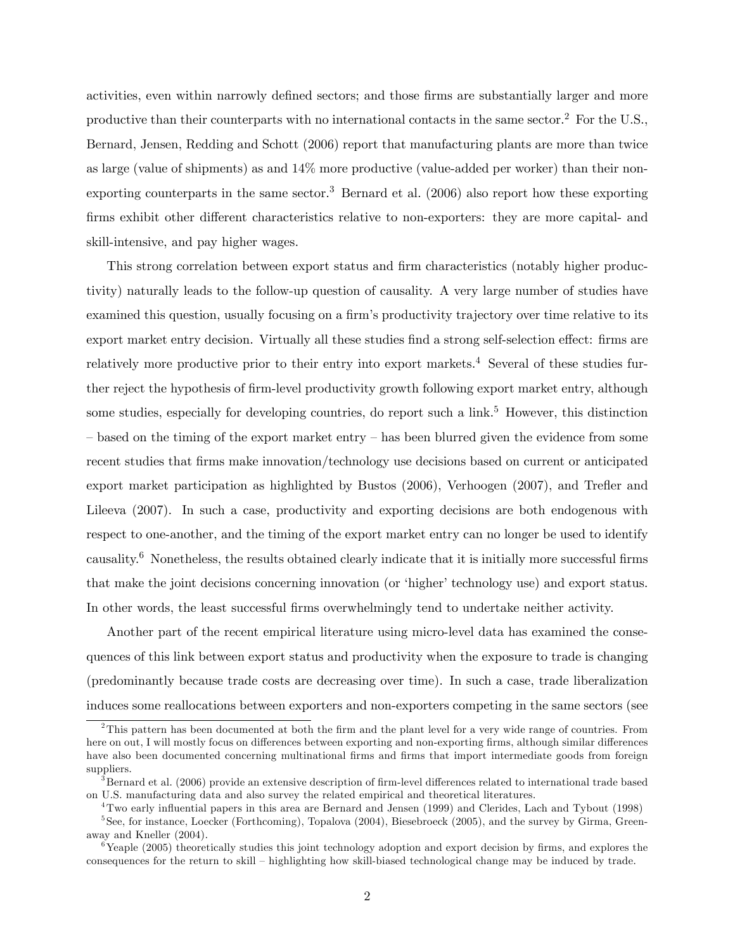activities, even within narrowly defined sectors; and those firms are substantially larger and more productive than their counterparts with no international contacts in the same sector.<sup>2</sup> For the U.S., Bernard, Jensen, Redding and Schott (2006) report that manufacturing plants are more than twice as large (value of shipments) as and 14% more productive (value-added per worker) than their nonexporting counterparts in the same sector.<sup>3</sup> Bernard et al.  $(2006)$  also report how these exporting firms exhibit other different characteristics relative to non-exporters: they are more capital- and skill-intensive, and pay higher wages.

This strong correlation between export status and firm characteristics (notably higher productivity) naturally leads to the follow-up question of causality. A very large number of studies have examined this question, usually focusing on a firm's productivity trajectory over time relative to its export market entry decision. Virtually all these studies find a strong self-selection effect: firms are relatively more productive prior to their entry into export markets.<sup>4</sup> Several of these studies further reject the hypothesis of firm-level productivity growth following export market entry, although some studies, especially for developing countries, do report such a link.<sup>5</sup> However, this distinction  $h$  – based on the timing of the export market entry – has been blurred given the evidence from some recent studies that firms make innovation/technology use decisions based on current or anticipated export market participation as highlighted by Bustos (2006), Verhoogen (2007), and Trefler and Lileeva (2007). In such a case, productivity and exporting decisions are both endogenous with respect to one-another, and the timing of the export market entry can no longer be used to identify causality. $^6$  Nonetheless, the results obtained clearly indicate that it is initially more successful firms that make the joint decisions concerning innovation (or 'higher' technology use) and export status. In other words, the least successful firms overwhelmingly tend to undertake neither activity.

Another part of the recent empirical literature using micro-level data has examined the consequences of this link between export status and productivity when the exposure to trade is changing (predominantly because trade costs are decreasing over time). In such a case, trade liberalization induces some reallocations between exporters and non-exporters competing in the same sectors (see

 $2$ This pattern has been documented at both the firm and the plant level for a very wide range of countries. From here on out, I will mostly focus on differences between exporting and non-exporting firms, although similar differences have also been documented concerning multinational firms and firms that import intermediate goods from foreign suppliers.

 $3$ Bernard et al. (2006) provide an extensive description of firm-level differences related to international trade based on U.S. manufacturing data and also survey the related empirical and theoretical literatures.

<sup>&</sup>lt;sup>4</sup>Two early influential papers in this area are Bernard and Jensen (1999) and Clerides, Lach and Tybout (1998) <sup>5</sup>See, for instance, Loecker (Forthcoming), Topalova (2004), Biesebroeck (2005), and the survey by Girma, Greenaway and Kneller (2004).

 $6$ Yeaple (2005) theoretically studies this joint technology adoption and export decision by firms, and explores the consequences for the return to skill – highlighting how skill-biased technological change may be induced by trade.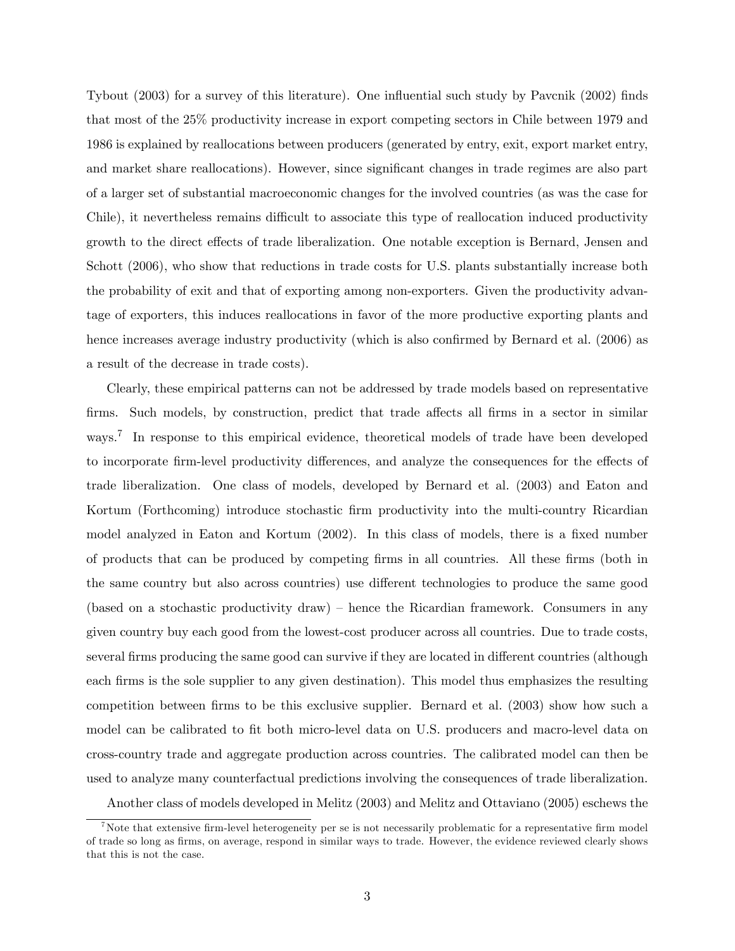Tybout (2003) for a survey of this literature). One influential such study by Pavcnik (2002) finds that most of the 25% productivity increase in export competing sectors in Chile between 1979 and 1986 is explained by reallocations between producers (generated by entry, exit, export market entry, and market share reallocations). However, since significant changes in trade regimes are also part of a larger set of substantial macroeconomic changes for the involved countries (as was the case for Chile), it nevertheless remains difficult to associate this type of reallocation induced productivity growth to the direct effects of trade liberalization. One notable exception is Bernard, Jensen and Schott (2006), who show that reductions in trade costs for U.S. plants substantially increase both the probability of exit and that of exporting among non-exporters. Given the productivity advantage of exporters, this induces reallocations in favor of the more productive exporting plants and hence increases average industry productivity (which is also confirmed by Bernard et al. (2006) as a result of the decrease in trade costs).

Clearly, these empirical patterns can not be addressed by trade models based on representative firms. Such models, by construction, predict that trade affects all firms in a sector in similar ways.<sup>7</sup> In response to this empirical evidence, theoretical models of trade have been developed to incorporate firm-level productivity differences, and analyze the consequences for the effects of trade liberalization. One class of models, developed by Bernard et al. (2003) and Eaton and Kortum (Forthcoming) introduce stochastic firm productivity into the multi-country Ricardian model analyzed in Eaton and Kortum (2002). In this class of models, there is a fixed number of products that can be produced by competing Örms in all countries. All these Örms (both in the same country but also across countries) use different technologies to produce the same good (based on a stochastic productivity draw) – hence the Ricardian framework. Consumers in any given country buy each good from the lowest-cost producer across all countries. Due to trade costs, several firms producing the same good can survive if they are located in different countries (although each firms is the sole supplier to any given destination). This model thus emphasizes the resulting competition between firms to be this exclusive supplier. Bernard et al. (2003) show how such a model can be calibrated to fit both micro-level data on U.S. producers and macro-level data on cross-country trade and aggregate production across countries. The calibrated model can then be used to analyze many counterfactual predictions involving the consequences of trade liberalization.

Another class of models developed in Melitz (2003) and Melitz and Ottaviano (2005) eschews the

<sup>&</sup>lt;sup>7</sup>Note that extensive firm-level heterogeneity per se is not necessarily problematic for a representative firm model of trade so long as Örms, on average, respond in similar ways to trade. However, the evidence reviewed clearly shows that this is not the case.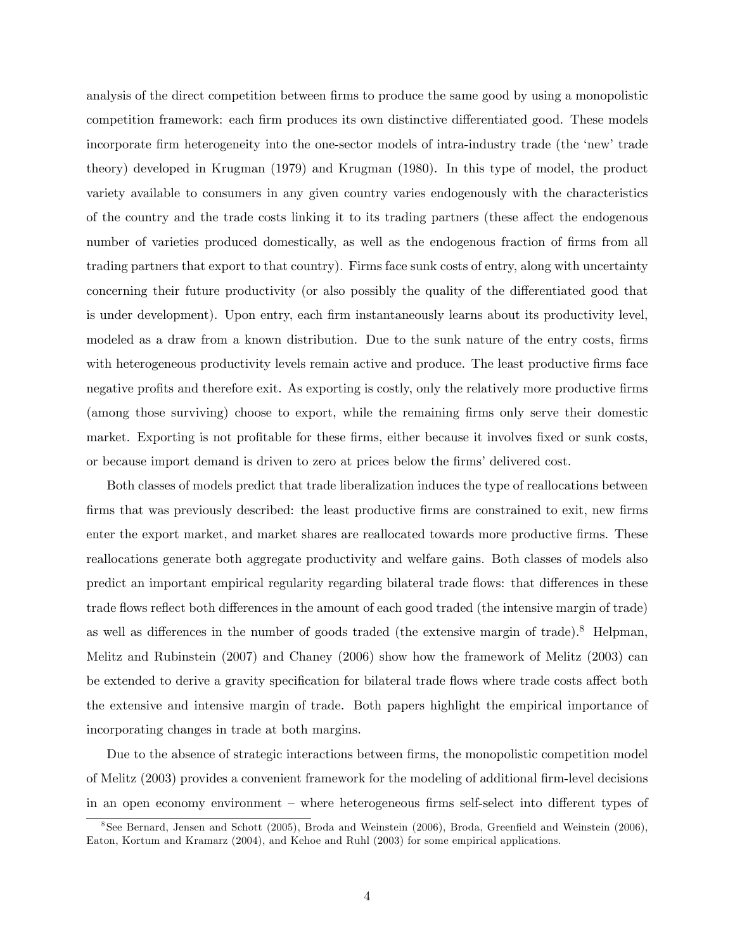analysis of the direct competition between firms to produce the same good by using a monopolistic competition framework: each firm produces its own distinctive differentiated good. These models incorporate firm heterogeneity into the one-sector models of intra-industry trade (the 'new' trade theory) developed in Krugman (1979) and Krugman (1980). In this type of model, the product variety available to consumers in any given country varies endogenously with the characteristics of the country and the trade costs linking it to its trading partners (these affect the endogenous number of varieties produced domestically, as well as the endogenous fraction of firms from all trading partners that export to that country). Firms face sunk costs of entry, along with uncertainty concerning their future productivity (or also possibly the quality of the differentiated good that is under development). Upon entry, each firm instantaneously learns about its productivity level, modeled as a draw from a known distribution. Due to the sunk nature of the entry costs, firms with heterogeneous productivity levels remain active and produce. The least productive firms face negative profits and therefore exit. As exporting is costly, only the relatively more productive firms (among those surviving) choose to export, while the remaining Örms only serve their domestic market. Exporting is not profitable for these firms, either because it involves fixed or sunk costs, or because import demand is driven to zero at prices below the firms' delivered cost.

Both classes of models predict that trade liberalization induces the type of reallocations between firms that was previously described: the least productive firms are constrained to exit, new firms enter the export market, and market shares are reallocated towards more productive firms. These reallocations generate both aggregate productivity and welfare gains. Both classes of models also predict an important empirical regularity regarding bilateral trade flows: that differences in these trade flows reflect both differences in the amount of each good traded (the intensive margin of trade) as well as differences in the number of goods traded (the extensive margin of trade).<sup>8</sup> Helpman, Melitz and Rubinstein (2007) and Chaney (2006) show how the framework of Melitz (2003) can be extended to derive a gravity specification for bilateral trade flows where trade costs affect both the extensive and intensive margin of trade. Both papers highlight the empirical importance of incorporating changes in trade at both margins.

Due to the absence of strategic interactions between firms, the monopolistic competition model of Melitz (2003) provides a convenient framework for the modeling of additional firm-level decisions in an open economy environment – where heterogeneous firms self-select into different types of

<sup>&</sup>lt;sup>8</sup> See Bernard, Jensen and Schott (2005), Broda and Weinstein (2006), Broda, Greenfield and Weinstein (2006), Eaton, Kortum and Kramarz (2004), and Kehoe and Ruhl (2003) for some empirical applications.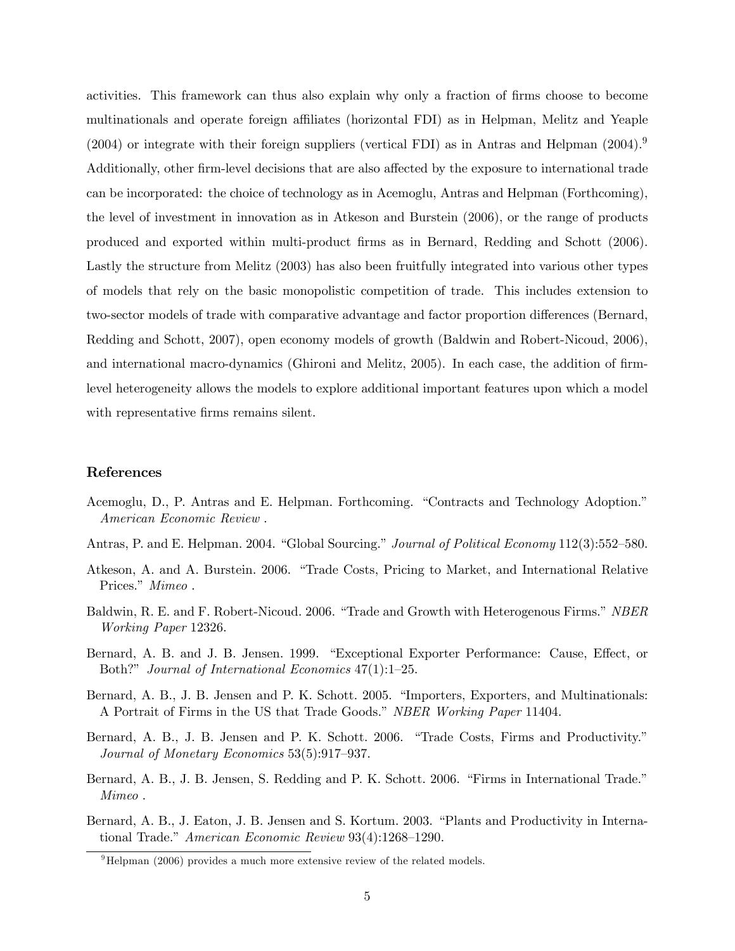activities. This framework can thus also explain why only a fraction of firms choose to become multinationals and operate foreign affiliates (horizontal FDI) as in Helpman, Melitz and Yeaple  $(2004)$  or integrate with their foreign suppliers (vertical FDI) as in Antras and Helpman  $(2004)^9$ Additionally, other firm-level decisions that are also affected by the exposure to international trade can be incorporated: the choice of technology as in Acemoglu, Antras and Helpman (Forthcoming), the level of investment in innovation as in Atkeson and Burstein (2006), or the range of products produced and exported within multi-product Örms as in Bernard, Redding and Schott (2006). Lastly the structure from Melitz (2003) has also been fruitfully integrated into various other types of models that rely on the basic monopolistic competition of trade. This includes extension to two-sector models of trade with comparative advantage and factor proportion differences (Bernard, Redding and Schott, 2007), open economy models of growth (Baldwin and Robert-Nicoud, 2006), and international macro-dynamics (Ghironi and Melitz, 2005). In each case, the addition of firmlevel heterogeneity allows the models to explore additional important features upon which a model with representative firms remains silent.

## References

- Acemoglu, D., P. Antras and E. Helpman. Forthcoming. "Contracts and Technology Adoption." American Economic Review .
- Antras, P. and E. Helpman. 2004. "Global Sourcing." Journal of Political Economy 112(3):552–580.
- Atkeson, A. and A. Burstein. 2006. "Trade Costs, Pricing to Market, and International Relative Prices." Mimeo.
- Baldwin, R. E. and F. Robert-Nicoud. 2006. "Trade and Growth with Heterogenous Firms." NBER Working Paper 12326.
- Bernard, A. B. and J. B. Jensen. 1999. "Exceptional Exporter Performance: Cause, Effect, or Both?" Journal of International Economics  $47(1):1-25$ .
- Bernard, A. B., J. B. Jensen and P. K. Schott. 2005. "Importers, Exporters, and Multinationals: A Portrait of Firms in the US that Trade Goods." NBER Working Paper 11404.
- Bernard, A. B., J. B. Jensen and P. K. Schott. 2006. "Trade Costs, Firms and Productivity." Journal of Monetary Economics  $53(5):917-937$ .
- Bernard, A. B., J. B. Jensen, S. Redding and P. K. Schott. 2006. "Firms in International Trade." Mimeo .
- Bernard, A. B., J. Eaton, J. B. Jensen and S. Kortum. 2003. "Plants and Productivity in International Trade." American Economic Review  $93(4):1268-1290$ .

 $9$ Helpman (2006) provides a much more extensive review of the related models.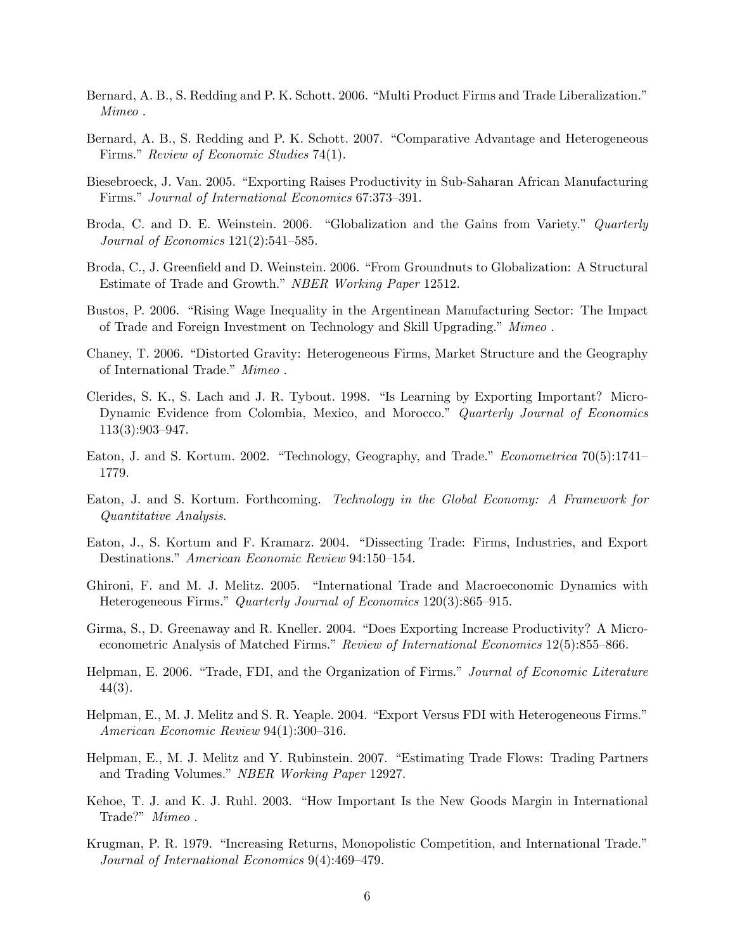- Bernard, A. B., S. Redding and P. K. Schott. 2006. "Multi Product Firms and Trade Liberalization." Mimeo .
- Bernard, A. B., S. Redding and P. K. Schott. 2007. "Comparative Advantage and Heterogeneous Firms." Review of Economic Studies 74(1).
- Biesebroeck, J. Van. 2005. "Exporting Raises Productivity in Sub-Saharan African Manufacturing Firms." Journal of International Economics 67:373-391.
- Broda, C. and D. E. Weinstein. 2006. "Globalization and the Gains from Variety." Quarterly Journal of Economics  $121(2):541-585$ .
- Broda, C., J. Greenfield and D. Weinstein. 2006. "From Groundnuts to Globalization: A Structural Estimate of Trade and Growth." NBER Working Paper 12512.
- Bustos, P. 2006. "Rising Wage Inequality in the Argentinean Manufacturing Sector: The Impact of Trade and Foreign Investment on Technology and Skill Upgrading." Mimeo .
- Chaney, T. 2006. "Distorted Gravity: Heterogeneous Firms, Market Structure and the Geography of International Trade." Mimeo.
- Clerides, S. K., S. Lach and J. R. Tybout. 1998. "Is Learning by Exporting Important? Micro-Dynamic Evidence from Colombia, Mexico, and Morocco." Quarterly Journal of Economics  $113(3):903-947.$
- Eaton, J. and S. Kortum. 2002. "Technology, Geography, and Trade." Econometrica  $70(5):1741$ 1779.
- Eaton, J. and S. Kortum. Forthcoming. Technology in the Global Economy: A Framework for Quantitative Analysis.
- Eaton, J., S. Kortum and F. Kramarz. 2004. "Dissecting Trade: Firms, Industries, and Export Destinations." American Economic Review 94:150-154.
- Ghironi, F. and M. J. Melitz. 2005. "International Trade and Macroeconomic Dynamics with Heterogeneous Firms." Quarterly Journal of Economics  $120(3):865-915$ .
- Girma, S., D. Greenaway and R. Kneller. 2004. "Does Exporting Increase Productivity? A Microeconometric Analysis of Matched Firms." Review of International Economics 12(5):855–866.
- Helpman, E. 2006. "Trade, FDI, and the Organization of Firms." Journal of Economic Literature 44(3).
- Helpman, E., M. J. Melitz and S. R. Yeaple. 2004. "Export Versus FDI with Heterogeneous Firms." American Economic Review  $94(1):300-316$ .
- Helpman, E., M. J. Melitz and Y. Rubinstein. 2007. "Estimating Trade Flows: Trading Partners and Trading Volumes." NBER Working Paper 12927.
- Kehoe, T. J. and K. J. Ruhl. 2003. "How Important Is the New Goods Margin in International Trade?" Mimeo.
- Krugman, P. R. 1979. "Increasing Returns, Monopolistic Competition, and International Trade." Journal of International Economics  $9(4):469-479$ .